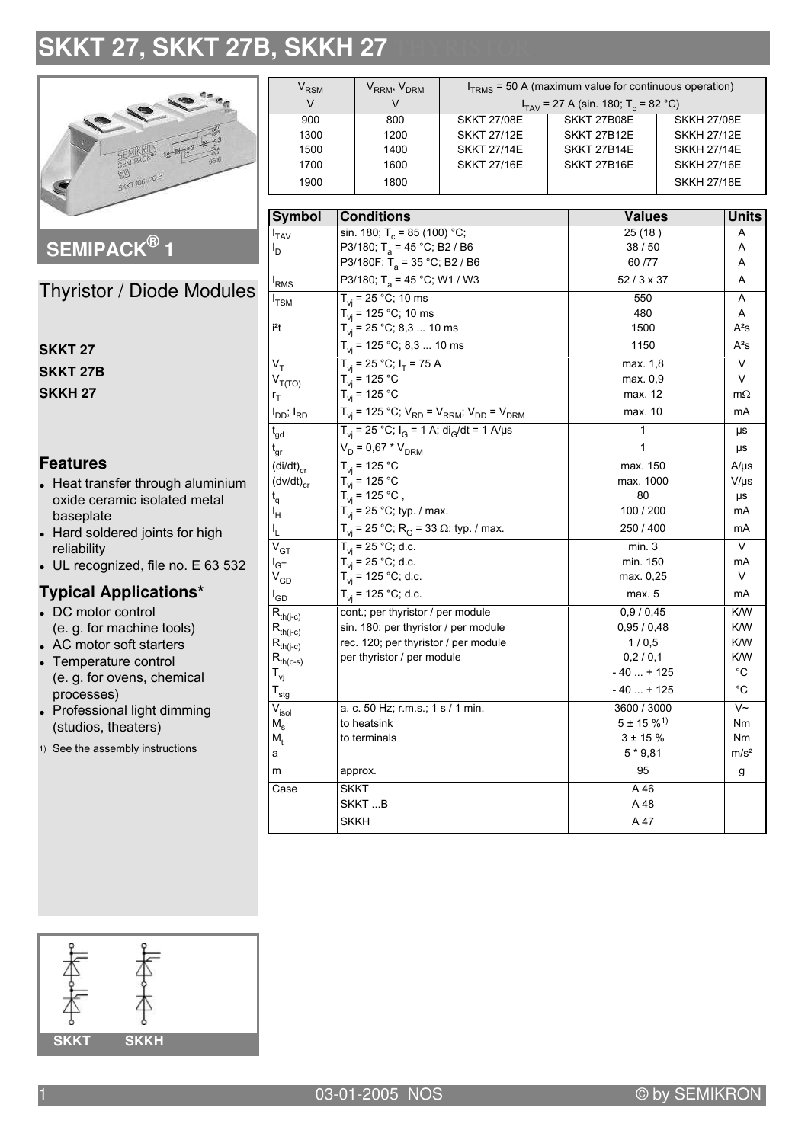## SKKT 27, SKKT 27B, SKKH 27



SEMIPACK<sup>®</sup> 1

Thyristor / Diode Modules

| <b>SKKT 27</b>  |  |
|-----------------|--|
| <b>SKKT 27B</b> |  |
| <b>SKKH 27</b>  |  |

## **Features**

- Heat transfer through aluminium oxide ceramic isolated metal baseplate
- Hard soldered joints for high reliability
- UL recognized, file no. E 63 532

## **Typical Applications\***

- DC motor control (e. g. for machine tools)
- AC motor soft starters
- Temperature control (e. g. for ovens, chemical processes)
- Professional light dimming (studios, theaters)
- 1) See the assembly instructions

| $\mathsf{v}_{\mathsf{RSM}}$ | V <sub>RRM</sub> , V <sub>DRM</sub> | $ITRMS = 50 A (maximum value for continuous operation)$ |                    |                    |
|-----------------------------|-------------------------------------|---------------------------------------------------------|--------------------|--------------------|
| $\vee$                      |                                     | $I_{TAV}$ = 27 A (sin. 180; T <sub>c</sub> = 82 °C)     |                    |                    |
| 900                         | 800                                 | <b>SKKT 27/08E</b>                                      | <b>SKKT 27B08E</b> | <b>SKKH 27/08E</b> |
| 1300                        | 1200                                | <b>SKKT 27/12E</b>                                      | SKKT 27B12F        | <b>SKKH 27/12E</b> |
| 1500                        | 1400                                | <b>SKKT 27/14E</b>                                      | <b>SKKT 27B14E</b> | <b>SKKH 27/14E</b> |
| 1700                        | 1600                                | <b>SKKT 27/16E</b>                                      | <b>SKKT 27B16E</b> | <b>SKKH 27/16E</b> |
| 1900                        | 1800                                |                                                         |                    | <b>SKKH 27/18E</b> |

| <b>Symbol</b>                          | <b>Conditions</b>                                              | <b>Values</b>               | <b>Units</b>     |
|----------------------------------------|----------------------------------------------------------------|-----------------------------|------------------|
| I <sub>TAV</sub>                       | sin. 180; T <sub>c</sub> = 85 (100) °C;                        | 25(18)                      | A                |
| I <sub>D</sub>                         | P3/180; T <sub>a</sub> = 45 °C; B2 / B6                        | 38/50                       | A                |
|                                        | P3/180F; T <sub>a</sub> = 35 °C; B2 / B6                       | 60 / 77                     | A                |
| <sup>I</sup> RMS                       | P3/180; T <sub>a</sub> = 45 °C; W1 / W3                        | $52/3 \times 37$            | A                |
| $I_{TSM}$                              | $T_{vi}$ = 25 °C; 10 ms                                        | 550                         | A                |
|                                        | $T_{vi}$ = 125 °C; 10 ms                                       | 480                         | Α                |
| i <sup>2</sup> t                       | $T_{vi}$ = 25 °C; 8,3  10 ms                                   | 1500                        | $A^2S$           |
|                                        | $T_{vi}$ = 125 °C; 8,3  10 ms                                  | 1150                        | $A^2S$           |
| $\overline{V}_{\mathsf{T}}$            | $T_{vi}$ = 25 °C; $I_T$ = 75 A                                 | max. 1,8                    | V                |
| $V_{T(TO)}$                            | $T_{vi}$ = 125 °C                                              | max. 0,9                    | V                |
| $r_T$                                  | $T_{vi}$ = 125 °C                                              | max. 12                     | $m\Omega$        |
| $I_{DD}$ ; $I_{RD}$                    | $T_{vi}$ = 125 °C; $V_{RD}$ = $V_{RRM}$ ; $V_{DD}$ = $V_{DRM}$ | max. 10                     | mA               |
| $\mathfrak{t}_{\mathsf{gd}}$           | $T_{vi}$ = 25 °C; $I_{G}$ = 1 A; di <sub>G</sub> /dt = 1 A/µs  | 1                           | μs               |
| $t_{gr}$                               | $V_D = 0.67 * V_{DRM}$                                         | 1                           | μs               |
| $\overline{(di/dt)}_{cr}$              | $T_{vi}$ = 125 °C                                              | max. 150                    | $A/\mu s$        |
| $(dv/dt)_{cr}$                         | $T_{vi}$ = 125 °C                                              | max. 1000                   | $V/\mu s$        |
| $t_{q}$                                | $T_{vi}$ = 125 °C,                                             | 80                          | μs               |
| Iн                                     | $T_{vi}$ = 25 °C; typ. / max.                                  | 100 / 200                   | mA               |
| ı'                                     | $T_{vi}$ = 25 °C; R <sub>G</sub> = 33 Ω; typ. / max.           | 250 / 400                   | mA               |
| $\rm V_{GT}$                           | $T_{vi}$ = 25 °C; d.c.                                         | min.3                       | V                |
| $I_{\text{GT}}$                        | $T_{vi}$ = 25 °C; d.c.                                         | min. 150                    | mA               |
| $V_{GD}$                               | $T_{vi}$ = 125 °C; d.c.                                        | max. 0,25                   | V                |
| $\mathsf{I}_{\mathsf{GD}}$             | $T_{vi}$ = 125 °C; d.c.                                        | max. 5                      | mA               |
| $\mathsf{R}_{\mathsf{th}(j\text{-}c)}$ | cont.; per thyristor / per module                              | 0,9/0,45                    | K/W              |
| $R_{th(j-c)}$                          | sin. 180; per thyristor / per module                           | 0,95/0,48                   | K/W              |
| $R_{th(j-c)}$                          | rec. 120; per thyristor / per module                           | 1/0.5                       | K/W              |
| $R_{th(c-s)}$                          | per thyristor / per module                                     | 0,2/0,1                     | K/W              |
| $\mathsf{T}_{\mathsf{vj}}$             |                                                                | $-40+125$                   | $^{\circ}$ C     |
| $\mathsf{T}_{\mathsf{stg}}$            |                                                                | $-40+125$                   | $^{\circ}C$      |
| $\rm V_{\rm isol}$                     | a. c. 50 Hz; r.m.s.; 1 s / 1 min.                              | 3600 / 3000                 | $V~\sim$         |
| $M_{\rm s}$                            | to heatsink                                                    | $5 \pm 15 \%$ <sup>1)</sup> | Nm               |
| $M_t$                                  | to terminals                                                   | $3 + 15%$                   | Nm               |
| a                                      |                                                                | $5 * 9,81$                  | m/s <sup>2</sup> |
| m                                      | approx.                                                        | 95                          | g                |
| Case                                   | <b>SKKT</b>                                                    | A 46                        |                  |
|                                        | SKKT B                                                         | A 48                        |                  |
|                                        | <b>SKKH</b>                                                    | A 47                        |                  |

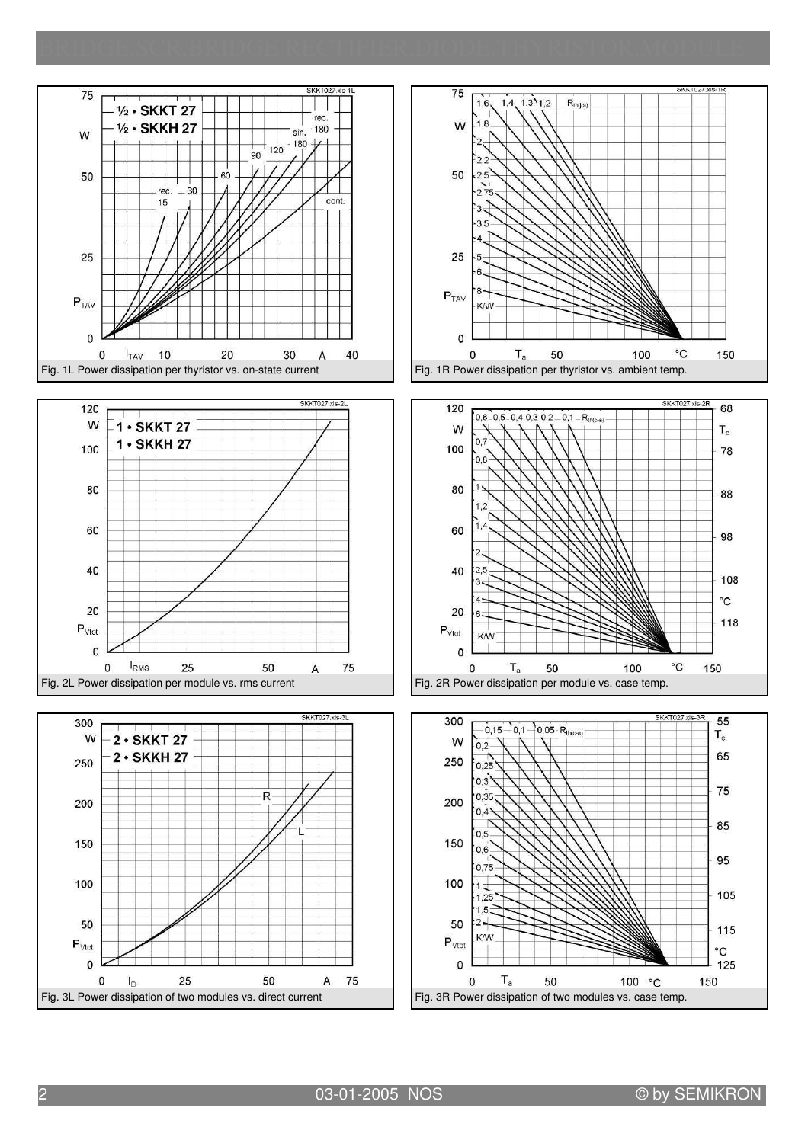











03-01-2005 NOS © by SEMIKRON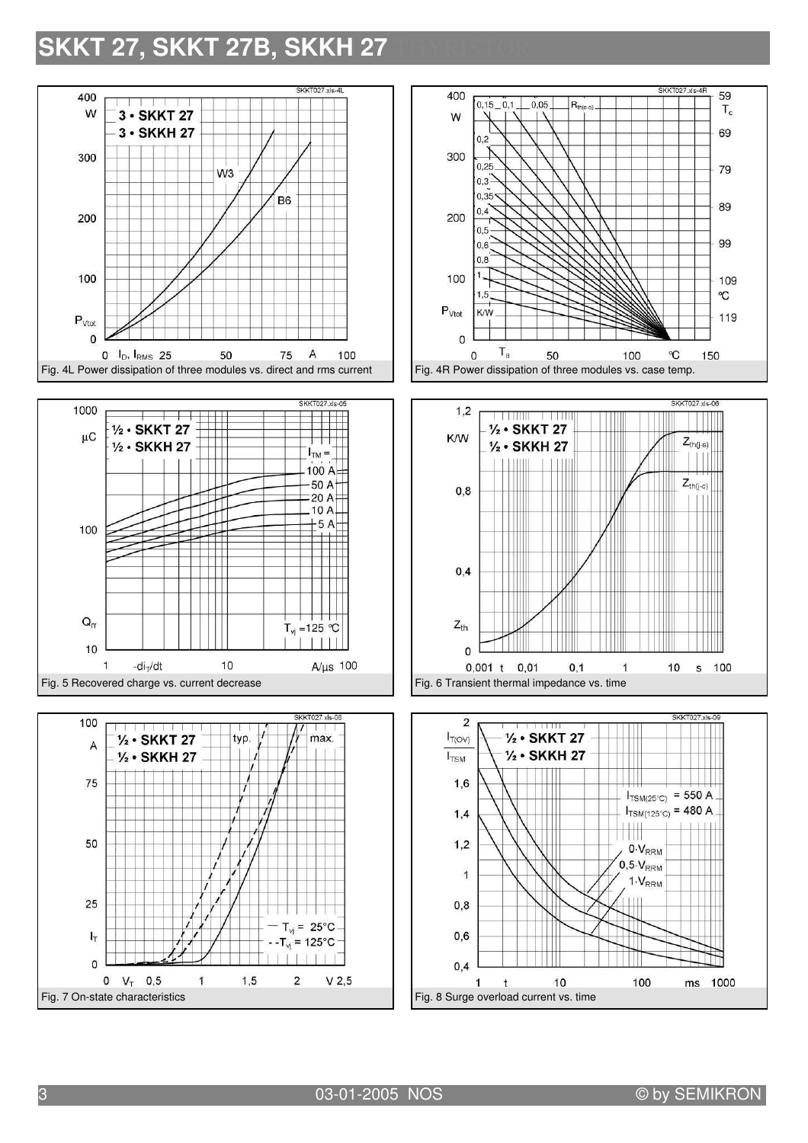## **SKKT 27, SKKT 27B, SKKH 27**